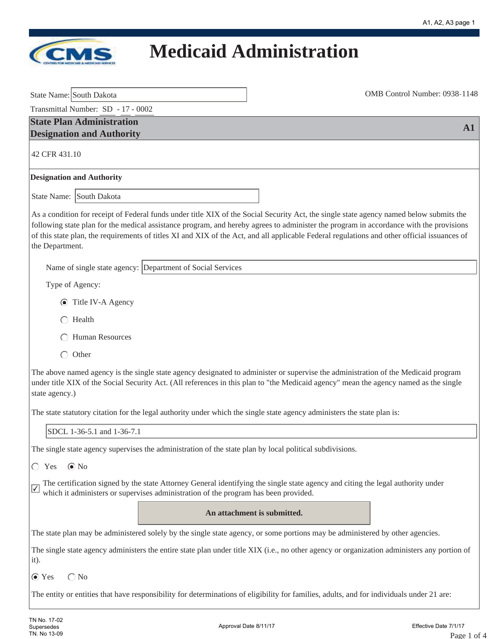

| State Name: South Dakota                                                                                                                                                                                                                                                                                                                                                                                                                             | OMB Control Number: 0938-1148 |  |            |
|------------------------------------------------------------------------------------------------------------------------------------------------------------------------------------------------------------------------------------------------------------------------------------------------------------------------------------------------------------------------------------------------------------------------------------------------------|-------------------------------|--|------------|
| Transmittal Number: SD - 17 - 0002                                                                                                                                                                                                                                                                                                                                                                                                                   |                               |  |            |
| <b>State Plan Administration</b><br><b>Designation and Authority</b>                                                                                                                                                                                                                                                                                                                                                                                 |                               |  | ${\bf A1}$ |
| 42 CFR 431.10                                                                                                                                                                                                                                                                                                                                                                                                                                        |                               |  |            |
| <b>Designation and Authority</b>                                                                                                                                                                                                                                                                                                                                                                                                                     |                               |  |            |
| State Name: South Dakota                                                                                                                                                                                                                                                                                                                                                                                                                             |                               |  |            |
| As a condition for receipt of Federal funds under title XIX of the Social Security Act, the single state agency named below submits the<br>following state plan for the medical assistance program, and hereby agrees to administer the program in accordance with the provisions<br>of this state plan, the requirements of titles XI and XIX of the Act, and all applicable Federal regulations and other official issuances of<br>the Department. |                               |  |            |
| Name of single state agency: Department of Social Services                                                                                                                                                                                                                                                                                                                                                                                           |                               |  |            |
| Type of Agency:                                                                                                                                                                                                                                                                                                                                                                                                                                      |                               |  |            |
| ◯ Title IV-A Agency                                                                                                                                                                                                                                                                                                                                                                                                                                  |                               |  |            |
| Health                                                                                                                                                                                                                                                                                                                                                                                                                                               |                               |  |            |
| Human Resources                                                                                                                                                                                                                                                                                                                                                                                                                                      |                               |  |            |
| $\bigcirc$<br>Other                                                                                                                                                                                                                                                                                                                                                                                                                                  |                               |  |            |
| The above named agency is the single state agency designated to administer or supervise the administration of the Medicaid program<br>under title XIX of the Social Security Act. (All references in this plan to "the Medicaid agency" mean the agency named as the single<br>state agency.)                                                                                                                                                        |                               |  |            |
| The state statutory citation for the legal authority under which the single state agency administers the state plan is:                                                                                                                                                                                                                                                                                                                              |                               |  |            |
| SDCL 1-36-5.1 and 1-36-7.1                                                                                                                                                                                                                                                                                                                                                                                                                           |                               |  |            |
| The single state agency supervises the administration of the state plan by local political subdivisions.                                                                                                                                                                                                                                                                                                                                             |                               |  |            |
| $\odot$ No<br>Yes<br>$\left( \begin{array}{c} \end{array} \right)$                                                                                                                                                                                                                                                                                                                                                                                   |                               |  |            |
| The certification signed by the state Attorney General identifying the single state agency and citing the legal authority under<br>which it administers or supervises administration of the program has been provided.                                                                                                                                                                                                                               |                               |  |            |
|                                                                                                                                                                                                                                                                                                                                                                                                                                                      | An attachment is submitted.   |  |            |
| The state plan may be administered solely by the single state agency, or some portions may be administered by other agencies.                                                                                                                                                                                                                                                                                                                        |                               |  |            |
| The single state agency administers the entire state plan under title XIX (i.e., no other agency or organization administers any portion of<br>it).                                                                                                                                                                                                                                                                                                  |                               |  |            |
| $\bigcirc$ No<br>$\odot$ Yes                                                                                                                                                                                                                                                                                                                                                                                                                         |                               |  |            |
| The entity or entities that have responsibility for determinations of eligibility for families, adults, and for individuals under 21 are:                                                                                                                                                                                                                                                                                                            |                               |  |            |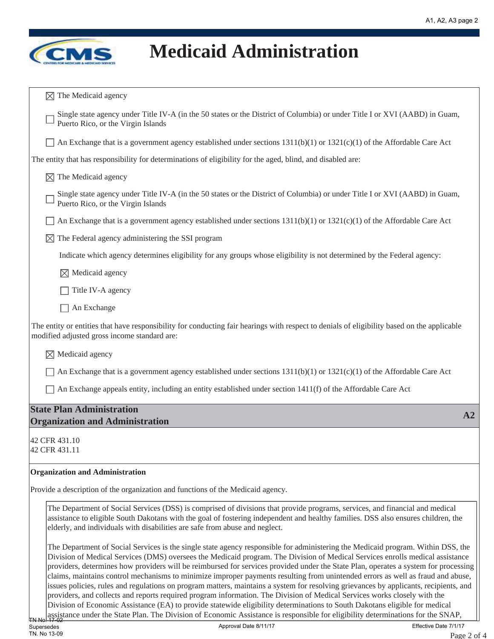

| $\boxtimes$ The Medicaid agency                                                                                                                                                                                                                                                                                                                                                                                                                                                                                                                                                                                                                                                                                                                                                                                                                                                                                                                                                                                                                                                                       |
|-------------------------------------------------------------------------------------------------------------------------------------------------------------------------------------------------------------------------------------------------------------------------------------------------------------------------------------------------------------------------------------------------------------------------------------------------------------------------------------------------------------------------------------------------------------------------------------------------------------------------------------------------------------------------------------------------------------------------------------------------------------------------------------------------------------------------------------------------------------------------------------------------------------------------------------------------------------------------------------------------------------------------------------------------------------------------------------------------------|
| Single state agency under Title IV-A (in the 50 states or the District of Columbia) or under Title I or XVI (AABD) in Guam,<br>Puerto Rico, or the Virgin Islands                                                                                                                                                                                                                                                                                                                                                                                                                                                                                                                                                                                                                                                                                                                                                                                                                                                                                                                                     |
| An Exchange that is a government agency established under sections $1311(b)(1)$ or $1321(c)(1)$ of the Affordable Care Act                                                                                                                                                                                                                                                                                                                                                                                                                                                                                                                                                                                                                                                                                                                                                                                                                                                                                                                                                                            |
| The entity that has responsibility for determinations of eligibility for the aged, blind, and disabled are:                                                                                                                                                                                                                                                                                                                                                                                                                                                                                                                                                                                                                                                                                                                                                                                                                                                                                                                                                                                           |
| $\boxtimes$ The Medicaid agency                                                                                                                                                                                                                                                                                                                                                                                                                                                                                                                                                                                                                                                                                                                                                                                                                                                                                                                                                                                                                                                                       |
| Single state agency under Title IV-A (in the 50 states or the District of Columbia) or under Title I or XVI (AABD) in Guam,<br>Puerto Rico, or the Virgin Islands                                                                                                                                                                                                                                                                                                                                                                                                                                                                                                                                                                                                                                                                                                                                                                                                                                                                                                                                     |
| An Exchange that is a government agency established under sections 1311(b)(1) or 1321(c)(1) of the Affordable Care Act                                                                                                                                                                                                                                                                                                                                                                                                                                                                                                                                                                                                                                                                                                                                                                                                                                                                                                                                                                                |
| The Federal agency administering the SSI program<br>M                                                                                                                                                                                                                                                                                                                                                                                                                                                                                                                                                                                                                                                                                                                                                                                                                                                                                                                                                                                                                                                 |
| Indicate which agency determines eligibility for any groups whose eligibility is not determined by the Federal agency:                                                                                                                                                                                                                                                                                                                                                                                                                                                                                                                                                                                                                                                                                                                                                                                                                                                                                                                                                                                |
| Medicaid agency<br>IХI                                                                                                                                                                                                                                                                                                                                                                                                                                                                                                                                                                                                                                                                                                                                                                                                                                                                                                                                                                                                                                                                                |
| Title IV-A agency                                                                                                                                                                                                                                                                                                                                                                                                                                                                                                                                                                                                                                                                                                                                                                                                                                                                                                                                                                                                                                                                                     |
| An Exchange                                                                                                                                                                                                                                                                                                                                                                                                                                                                                                                                                                                                                                                                                                                                                                                                                                                                                                                                                                                                                                                                                           |
| The entity or entities that have responsibility for conducting fair hearings with respect to denials of eligibility based on the applicable<br>modified adjusted gross income standard are:                                                                                                                                                                                                                                                                                                                                                                                                                                                                                                                                                                                                                                                                                                                                                                                                                                                                                                           |
| $\boxtimes$ Medicaid agency                                                                                                                                                                                                                                                                                                                                                                                                                                                                                                                                                                                                                                                                                                                                                                                                                                                                                                                                                                                                                                                                           |
| An Exchange that is a government agency established under sections $1311(b)(1)$ or $1321(c)(1)$ of the Affordable Care Act                                                                                                                                                                                                                                                                                                                                                                                                                                                                                                                                                                                                                                                                                                                                                                                                                                                                                                                                                                            |
| An Exchange appeals entity, including an entity established under section 1411(f) of the Affordable Care Act                                                                                                                                                                                                                                                                                                                                                                                                                                                                                                                                                                                                                                                                                                                                                                                                                                                                                                                                                                                          |
| <b>State Plan Administration</b><br>A2<br><b>Organization and Administration</b>                                                                                                                                                                                                                                                                                                                                                                                                                                                                                                                                                                                                                                                                                                                                                                                                                                                                                                                                                                                                                      |
| 42 CFR 431.10<br>42 CFR 431.11                                                                                                                                                                                                                                                                                                                                                                                                                                                                                                                                                                                                                                                                                                                                                                                                                                                                                                                                                                                                                                                                        |
| <b>Organization and Administration</b>                                                                                                                                                                                                                                                                                                                                                                                                                                                                                                                                                                                                                                                                                                                                                                                                                                                                                                                                                                                                                                                                |
| Provide a description of the organization and functions of the Medicaid agency.                                                                                                                                                                                                                                                                                                                                                                                                                                                                                                                                                                                                                                                                                                                                                                                                                                                                                                                                                                                                                       |
| The Department of Social Services (DSS) is comprised of divisions that provide programs, services, and financial and medical<br>assistance to eligible South Dakotans with the goal of fostering independent and healthy families. DSS also ensures children, the<br>elderly, and individuals with disabilities are safe from abuse and neglect.                                                                                                                                                                                                                                                                                                                                                                                                                                                                                                                                                                                                                                                                                                                                                      |
| The Department of Social Services is the single state agency responsible for administering the Medicaid program. Within DSS, the<br>Division of Medical Services (DMS) oversees the Medicaid program. The Division of Medical Services enrolls medical assistance<br>providers, determines how providers will be reimbursed for services provided under the State Plan, operates a system for processing<br>claims, maintains control mechanisms to minimize improper payments resulting from unintended errors as well as fraud and abuse,<br>issues policies, rules and regulations on program matters, maintains a system for resolving grievances by applicants, recipients, and<br>providers, and collects and reports required program information. The Division of Medical Services works closely with the<br>Division of Economic Assistance (EA) to provide statewide eligibility determinations to South Dakotans eligible for medical<br>assistance under the State Plan. The Division of Economic Assistance is responsible for eligibility determinations for the SNAP,<br><b>TN No!</b> |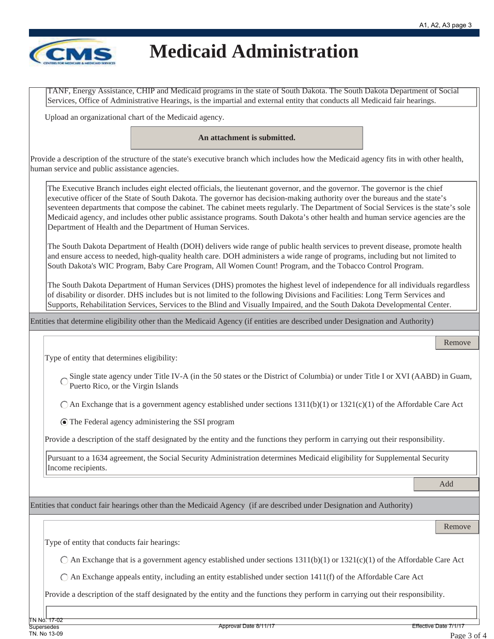

TANF, Energy Assistance, CHIP and Medicaid programs in the state of South Dakota. The South Dakota Department of Social Services, Office of Administrative Hearings, is the impartial and external entity that conducts all Medicaid fair hearings.

Upload an organizational chart of the Medicaid agency.

**An attachment is submitted.**

Provide a description of the structure of the state's executive branch which includes how the Medicaid agency fits in with other health, human service and public assistance agencies.

The Executive Branch includes eight elected officials, the lieutenant governor, and the governor. The governor is the chief executive officer of the State of South Dakota. The governor has decision-making authority over the bureaus and the state's seventeen departments that compose the cabinet. The cabinet meets regularly. The Department of Social Services is the state's sole Medicaid agency, and includes other public assistance programs. South Dakota's other health and human service agencies are the Department of Health and the Department of Human Services.

The South Dakota Department of Health (DOH) delivers wide range of public health services to prevent disease, promote health and ensure access to needed, high-quality health care. DOH administers a wide range of programs, including but not limited to South Dakota's WIC Program, Baby Care Program, All Women Count! Program, and the Tobacco Control Program.

The South Dakota Department of Human Services (DHS) promotes the highest level of independence for all individuals regardless of disability or disorder. DHS includes but is not limited to the following Divisions and Facilities: Long Term Services and Supports, Rehabilitation Services, Services to the Blind and Visually Impaired, and the South Dakota Developmental Center.

Entities that determine eligibility other than the Medicaid Agency (if entities are described under Designation and Authority)

Type of entity that determines eligibility:

Single state agency under Title IV-A (in the 50 states or the District of Columbia) or under Title I or XVI (AABD) in Guam, Puerto Rico, or the Virgin Islands

 $\bigcap$  An Exchange that is a government agency established under sections 1311(b)(1) or 1321(c)(1) of the Affordable Care Act

The Federal agency administering the SSI program

Provide a description of the staff designated by the entity and the functions they perform in carrying out their responsibility.

Pursuant to a 1634 agreement, the Social Security Administration determines Medicaid eligibility for Supplemental Security Income recipients.

Add

Remove

Entities that conduct fair hearings other than the Medicaid Agency (if are described under Designation and Authority)

Remove

Type of entity that conducts fair hearings:

 $\bigcirc$  An Exchange that is a government agency established under sections 1311(b)(1) or 1321(c)(1) of the Affordable Care Act

 $\bigcirc$  An Exchange appeals entity, including an entity established under section 1411(f) of the Affordable Care Act

Provide a description of the staff designated by the entity and the functions they perform in carrying out their responsibility.

TN No.<del>"17-02</del>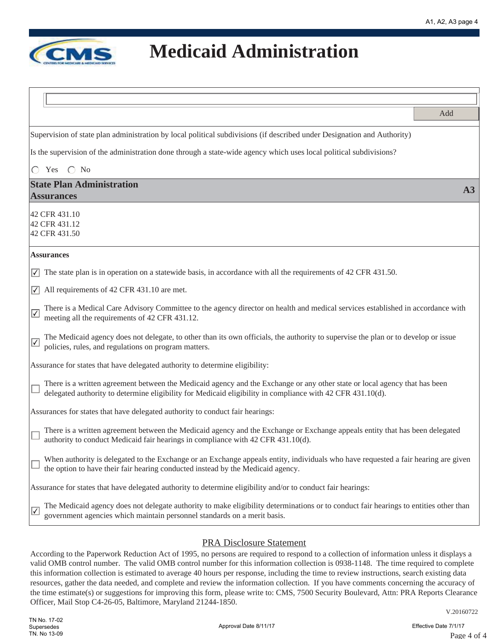

| Add                                                                                                                                                                                                                                                  |    |
|------------------------------------------------------------------------------------------------------------------------------------------------------------------------------------------------------------------------------------------------------|----|
|                                                                                                                                                                                                                                                      |    |
| Supervision of state plan administration by local political subdivisions (if described under Designation and Authority)                                                                                                                              |    |
| Is the supervision of the administration done through a state-wide agency which uses local political subdivisions?                                                                                                                                   |    |
| Yes $\bigcirc$ No<br>$\bigcirc$                                                                                                                                                                                                                      |    |
| <b>State Plan Administration</b>                                                                                                                                                                                                                     | A3 |
| <b>Assurances</b>                                                                                                                                                                                                                                    |    |
| 42 CFR 431.10<br>42 CFR 431.12<br>42 CFR 431.50                                                                                                                                                                                                      |    |
| <b>Assurances</b>                                                                                                                                                                                                                                    |    |
| $\sqrt{\phantom{a}}$ The state plan is in operation on a statewide basis, in accordance with all the requirements of 42 CFR 431.50.                                                                                                                  |    |
| All requirements of 42 CFR 431.10 are met.<br>$\sqrt{}$                                                                                                                                                                                              |    |
| There is a Medical Care Advisory Committee to the agency director on health and medical services established in accordance with<br>$\boxed{\checkmark}$<br>meeting all the requirements of 42 CFR 431.12.                                            |    |
| The Medicaid agency does not delegate, to other than its own officials, the authority to supervise the plan or to develop or issue<br>$\sqrt{}$<br>policies, rules, and regulations on program matters.                                              |    |
| Assurance for states that have delegated authority to determine eligibility:                                                                                                                                                                         |    |
| There is a written agreement between the Medicaid agency and the Exchange or any other state or local agency that has been<br>delegated authority to determine eligibility for Medicaid eligibility in compliance with 42 CFR 431.10(d).             |    |
| Assurances for states that have delegated authority to conduct fair hearings:                                                                                                                                                                        |    |
| There is a written agreement between the Medicaid agency and the Exchange or Exchange appeals entity that has been delegated<br>authority to conduct Medicaid fair hearings in compliance with 42 CFR 431.10(d).                                     |    |
| When authority is delegated to the Exchange or an Exchange appeals entity, individuals who have requested a fair hearing are given<br>the option to have their fair hearing conducted instead by the Medicaid agency.                                |    |
| Assurance for states that have delegated authority to determine eligibility and/or to conduct fair hearings:                                                                                                                                         |    |
| The Medicaid agency does not delegate authority to make eligibility determinations or to conduct fair hearings to entities other than<br>$\overline{\blacktriangledown}$<br>government agencies which maintain personnel standards on a merit basis. |    |
|                                                                                                                                                                                                                                                      |    |

#### PRA Disclosure Statement

According to the Paperwork Reduction Act of 1995, no persons are required to respond to a collection of information unless it displays a valid OMB control number. The valid OMB control number for this information collection is 0938-1148. The time required to complete this information collection is estimated to average 40 hours per response, including the time to review instructions, search existing data resources, gather the data needed, and complete and review the information collection. If you have comments concerning the accuracy of the time estimate(s) or suggestions for improving this form, please write to: CMS, 7500 Security Boulevard, Attn: PRA Reports Clearance Officer, Mail Stop C4-26-05, Baltimore, Maryland 21244-1850.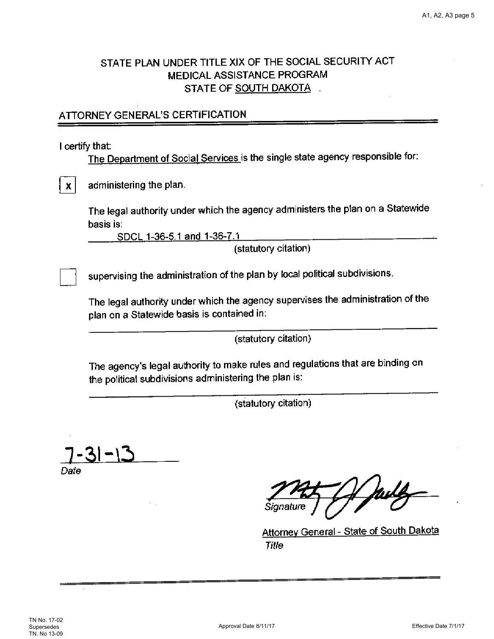#### STATE PLAN UNDER TITLE XIX OF THE SOCIAL SECURITY ACT MEDICAL ASSISTANCE PROGRAM STATE OF SOUTH DAKOTA

#### ATTORNEY GENERAL'S CERTIFICATION

I certify that:

 $\mathbf{X}$ 

The Department of Social Services is the single state agency responsible for:

administering the plan.

The legal authority under which the agency administers the plan on a Statewide basis is:

SDCL 1-36-5.1 and 1-36-7.1

(statutory citation)

supervising the administration of the plan by local political subdivisions.

The legal authority under which the agency supervises the administration of the plan on a Statewide basis is contained in:

(statutory citation)

The agency's legal authority to make rules and regulations that are binding on the political subdivisions administering the plan is:

(statutory citation)

Date

July

Attorney General - State of South Dakota Title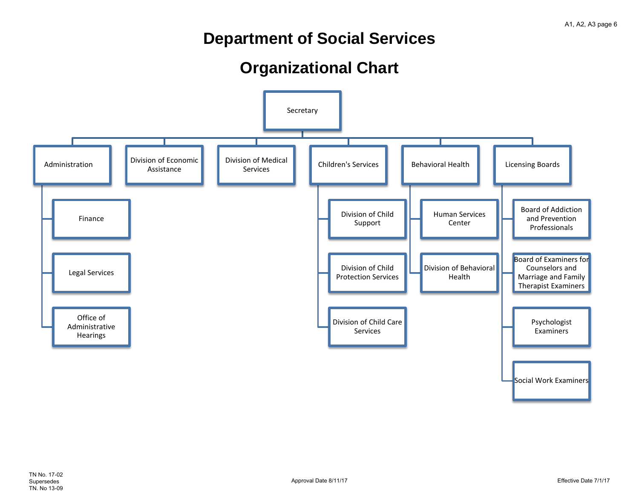### **Department of Social Services**

### **Organizational Chart**